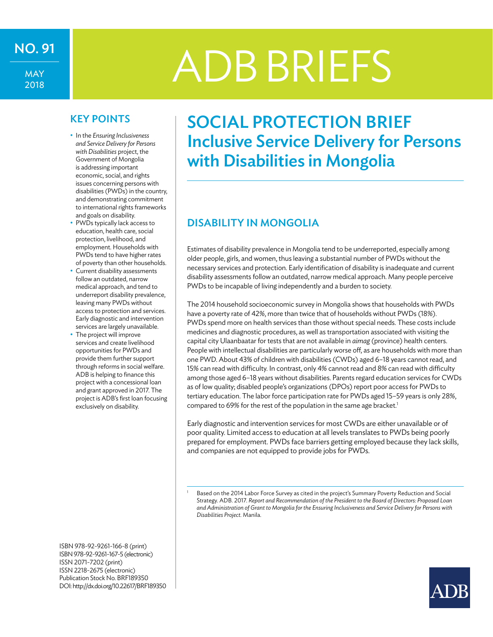# NO.91 ADB BRIEFS

MAY 2018

- • In the *Ensuring Inclusiveness and Service Delivery for Persons with Disabilities* project, the Government of Mongolia is addressing important economic, social, and rights issues concerning persons with disabilities (PWDs) in the country, and demonstrating commitment to international rights frameworks and goals on disability.
- PWDs typically lack access to education, health care, social protection, livelihood, and employment. Households with PWDs tend to have higher rates of poverty than other households.
- Current disability assessments follow an outdated, narrow medical approach, and tend to underreport disability prevalence, leaving many PWDs without access to protection and services. Early diagnostic and intervention services are largely unavailable.
- The project will improve services and create livelihood opportunities for PWDs and provide them further support through reforms in social welfare. ADB is helping to finance this project with a concessional loan and grant approved in 2017. The project is ADB's first loan focusing exclusively on disability.

ISBN 978-92-9261-166-8 (print) ISBN978-92-9261-167-5(electronic) ISSN 2071-7202 (print) ISSN 2218-2675 (electronic) Publication Stock No. BRF189350 DOI:http://dx.doi.org/10.22617/BRF189350

## KEY POINTS | SOCIAL PROTECTION BRIEF Inclusive Service Delivery for Persons with Disabilities in Mongolia

#### Disability in Mongolia

Estimates of disability prevalence in Mongolia tend to be underreported, especially among older people, girls, and women, thus leaving a substantial number of PWDs without the necessary services and protection. Early identification of disability is inadequate and current disability assessments follow an outdated, narrow medical approach. Many people perceive PWDs to be incapable of living independently and a burden to society.

The 2014 household socioeconomic survey in Mongolia shows that households with PWDs have a poverty rate of 42%, more than twice that of households without PWDs (18%). PWDs spend more on health services than those without special needs. These costs include medicines and diagnostic procedures, as well as transportation associated with visiting the capital city Ulaanbaatar for tests that are not available in *aimag* (province) health centers. People with intellectual disabilities are particularly worse off, as are households with more than one PWD. About 43% of children with disabilities (CWDs) aged 6–18 years cannot read, and 15% can read with difficulty. In contrast, only 4% cannot read and 8% can read with difficulty among those aged 6–18 years without disabilities. Parents regard education services for CWDs as of low quality; disabled people's organizations (DPOs)report poor access for PWDs to tertiary education. The labor force participation rate for PWDs aged 15–59 years is only 28%, compared to 69% for the rest of the population in the same age bracket.<sup>1</sup>

Early diagnostic and intervention services for most CWDs are either unavailable or of poor quality. Limited access to education at all levels translates to PWDs being poorly prepared for employment. PWDs face barriers getting employed because they lack skills, and companies are not equipped to provide jobs for PWDs.



<sup>1</sup> Based on the 2014 Labor Force Survey as cited in the project's Summary Poverty Reduction and Social Strategy. ADB. 2017. *Report and Recommendation of the President to the Board of Directors: Proposed Loan and Administration of Grant to Mongolia for the Ensuring Inclusiveness and Service Delivery for Persons with Disabilities Project.* Manila.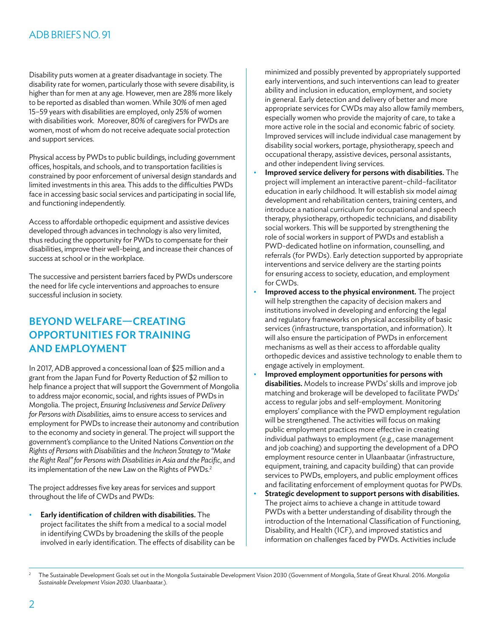#### ADBBRIEFSNO.91

Disability puts women at a greater disadvantage in society. The disability rate for women, particularly those with severe disability, is higher than for men at any age. However, men are 28% more likely to be reported as disabled than women. While 30% of men aged 15–59 years with disabilities are employed, only 25% of women with disabilities work. Moreover, 80% of caregivers for PWDs are women, most of whom do not receive adequate social protection and support services.

Physical access by PWDs to public buildings, including government offices, hospitals, and schools, and to transportation facilities is constrained by poor enforcement of universal design standards and limited investments in this area. This adds to the difficulties PWDs face in accessing basic social services and participating in social life, and functioning independently.

Access to affordable orthopedic equipment and assistive devices developed through advances in technology is also very limited, thus reducing the opportunity for PWDs to compensate for their disabilities, improve their well-being, and increase their chances of success at school or in the workplace.

The successive and persistent barriers faced by PWDs underscore the need for life cycle interventions and approaches to ensure successful inclusion in society.

### Beyond Welfare—Creating Opportunities for Training and Employment

In 2017, ADB approved a concessional loan of \$25 million and a grant from the Japan Fund for Poverty Reduction of \$2 million to help finance a project that will support the Government of Mongolia to address major economic, social, and rights issues of PWDs in Mongolia. The project, *Ensuring Inclusiveness and Service Delivery for Persons with Disabilities*, aims to ensure access to services and employment for PWDs to increase their autonomy and contribution to the economy and society in general. The project will support the government's compliance to the United Nations *Convention on the Rights of Persons with Disabilities* and the *Incheon Strategy to "Make the Right Real" for Persons with Disabilities in Asia and the Pacific*, and its implementation of the new Law on the Rights of PWDs.<sup>2</sup>

The project addresses five key areas for services and support throughout the life of CWDs and PWDs:

• Early identification of children with disabilities. The project facilitates the shift from a medical to a social model in identifying CWDs by broadening the skills of the people involved in early identification. The effects of disability can be minimized and possibly prevented by appropriately supported early interventions, and such interventions can lead to greater ability and inclusion in education, employment, and society in general. Early detection and delivery of better and more appropriate services for CWDs may also allow family members, especially women who provide the majority of care, to take a more active role in the social and economic fabric of society. Improved services will include individual case management by disability social workers, portage, physiotherapy, speech and occupational therapy, assistive devices, personal assistants, and other independent living services.

- Improved service delivery for persons with disabilities. The project will implement an interactive parent–child–facilitator education in early childhood. It will establish six model *aimag* development and rehabilitation centers, training centers, and introduce a national curriculum for occupational and speech therapy, physiotherapy, orthopedic technicians, and disability social workers. This will be supported by strengthening the role of social workers in support of PWDs and establish a PWD-dedicated hotline on information, counselling, and referrals (for PWDs). Early detection supported by appropriate interventions and service delivery are the starting points for ensuring access to society, education, and employment for CWDs.
- Improved access to the physical environment. The project will help strengthen the capacity of decision makers and institutions involved in developing and enforcing the legal and regulatory frameworks on physical accessibility of basic services (infrastructure, transportation, and information). It will also ensure the participation of PWDs in enforcement mechanisms as well as their access to affordable quality orthopedic devices and assistive technology to enable them to engage actively in employment.
- Improved employment opportunities for persons with disabilities. Models to increase PWDs' skills and improve job matching and brokerage will be developed to facilitate PWDs' access to regular jobs and self-employment. Monitoring employers' compliance with the PWD employment regulation will be strengthened. The activities will focus on making public employment practices more effective in creating individual pathways to employment (e.g., case management and job coaching) and supporting the development of a DPO employment resource center in Ulaanbaatar (infrastructure, equipment, training, and capacity building) that can provide services to PWDs, employers, and public employment offices and facilitating enforcement of employment quotas for PWDs.
- Strategic development to support persons with disabilities. The project aims to achieve a change in attitude toward PWDs with a better understanding of disability through the introduction of the International Classification of Functioning, Disability, and Health (ICF), and improved statistics and information on challenges faced by PWDs. Activities include

<sup>2</sup> The Sustainable Development Goals set out in the Mongolia Sustainable Development Vision 2030 (Government of Mongolia, State of Great Khural. 2016. *Mongolia Sustainable Development Vision 2030*. Ulaanbaatar.).